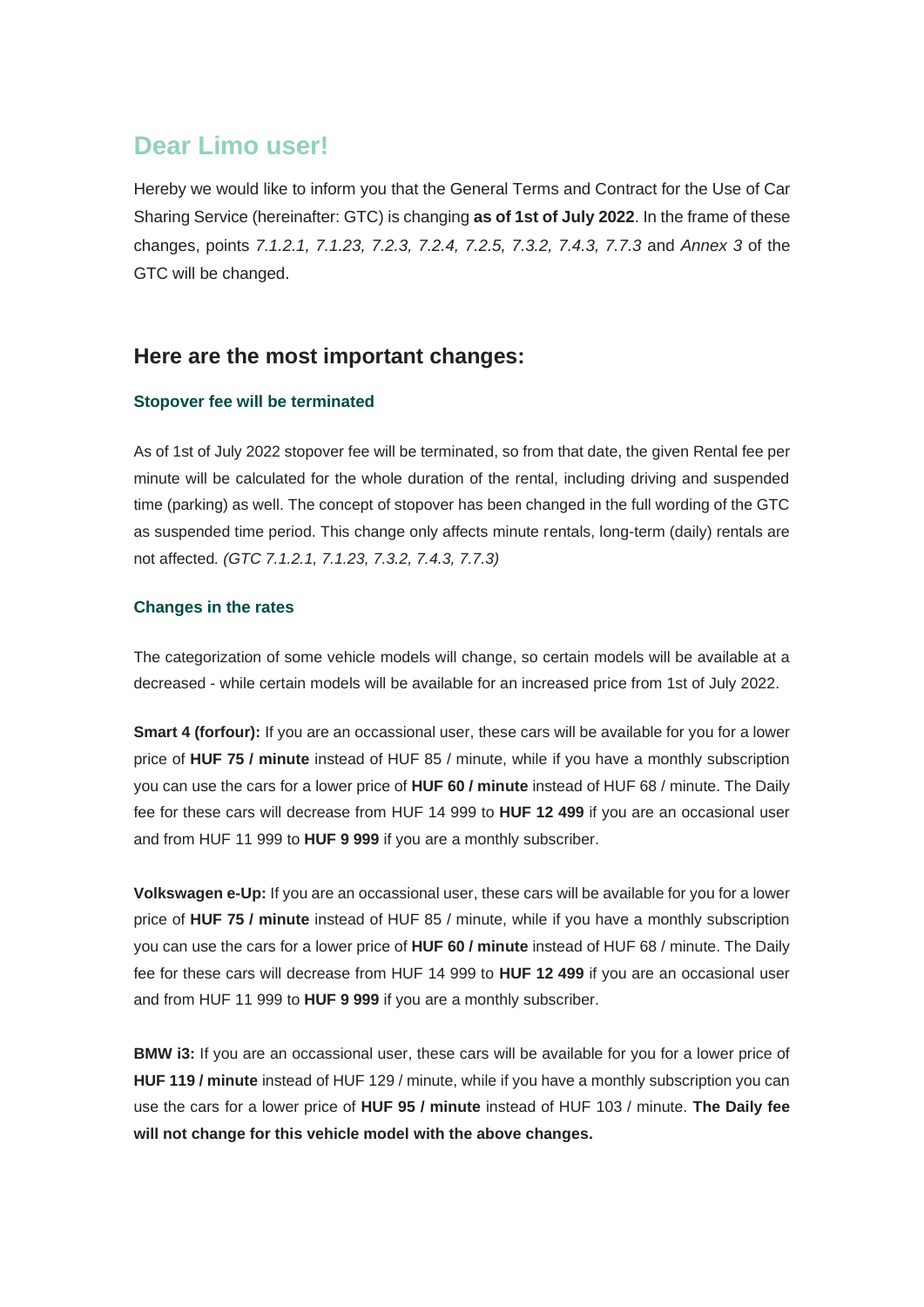# **Dear Limo user!**

Hereby we would like to inform you that the General Terms and Contract for the Use of Car Sharing Service (hereinafter: GTC) is changing **as of 1st of July 2022**. In the frame of these changes, points *7.1.2.1, 7.1.23, 7.2.3, 7.2.4, 7.2.5, 7.3.2, 7.4.3, 7.7.3* and *Annex 3* of the GTC will be changed.

## **Here are the most important changes:**

### **Stopover fee will be terminated**

As of 1st of July 2022 stopover fee will be terminated, so from that date, the given Rental fee per minute will be calculated for the whole duration of the rental, including driving and suspended time (parking) as well. The concept of stopover has been changed in the full wording of the GTC as suspended time period. This change only affects minute rentals, long-term (daily) rentals are not affected*. (GTC 7.1.2.1, 7.1.23, 7.3.2, 7.4.3, 7.7.3)*

### **Changes in the rates**

The categorization of some vehicle models will change, so certain models will be available at a decreased - while certain models will be available for an increased price from 1st of July 2022.

**Smart 4 (forfour):** If you are an occassional user, these cars will be available for you for a lower price of **HUF 75 / minute** instead of HUF 85 / minute, while if you have a monthly subscription you can use the cars for a lower price of **HUF 60 / minute** instead of HUF 68 / minute. The Daily fee for these cars will decrease from HUF 14 999 to **HUF 12 499** if you are an occasional user and from HUF 11 999 to **HUF 9 999** if you are a monthly subscriber.

**Volkswagen e-Up:** If you are an occassional user, these cars will be available for you for a lower price of **HUF 75 / minute** instead of HUF 85 / minute, while if you have a monthly subscription you can use the cars for a lower price of **HUF 60 / minute** instead of HUF 68 / minute. The Daily fee for these cars will decrease from HUF 14 999 to **HUF 12 499** if you are an occasional user and from HUF 11 999 to **HUF 9 999** if you are a monthly subscriber.

**BMW i3:** If you are an occassional user, these cars will be available for you for a lower price of **HUF 119 / minute** instead of HUF 129 / minute, while if you have a monthly subscription you can use the cars for a lower price of **HUF 95 / minute** instead of HUF 103 / minute. **The Daily fee will not change for this vehicle model with the above changes.**